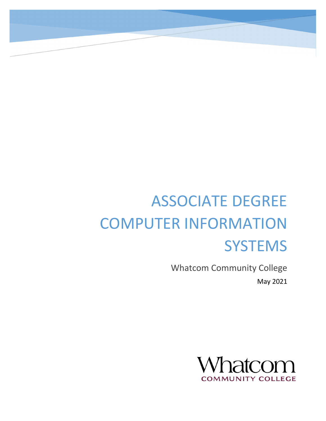# ASSOCIATE DEGREE COMPUTER INFORMATION **SYSTEMS**

Whatcom Community College May 2021

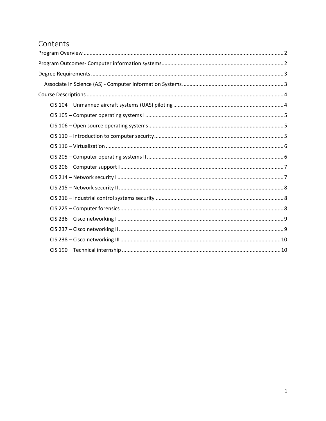# Contents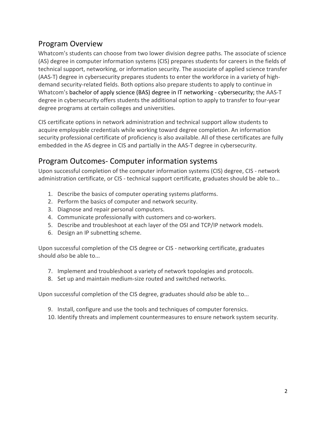# <span id="page-2-0"></span>Program Overview

Whatcom's students can choose from two lower division degree paths. The associate of science (AS) degree in computer information systems (CIS) prepares students for careers in the fields of technical support, networking, or information security. The associate of applied science transfer (AAS-T) degree in cybersecurity prepares students to enter the workforce in a variety of highdemand security-related fields. Both options also prepare students to apply to continue in Whatcom's bachelor of apply science (BAS) degree in IT networking - cybersecurity; the AAS-T degree in cybersecurity offers students the additional option to apply to transfer to four-year degree programs at certain colleges and universities.

CIS certificate options in network administration and technical support allow students to acquire employable credentials while working toward degree completion. An information security professional certificate of proficiency is also available. All of these certificates are fully embedded in the AS degree in CIS and partially in the AAS-T degree in cybersecurity.

# <span id="page-2-1"></span>Program Outcomes- Computer information systems

Upon successful completion of the computer information systems (CIS) degree, CIS - network administration certificate, or CIS - technical support certificate, graduates should be able to...

- 1. Describe the basics of computer operating systems platforms.
- 2. Perform the basics of computer and network security.
- 3. Diagnose and repair personal computers.
- 4. Communicate professionally with customers and co-workers.
- 5. Describe and troubleshoot at each layer of the OSI and TCP/IP network models.
- 6. Design an IP subnetting scheme.

Upon successful completion of the CIS degree or CIS - networking certificate, graduates should *also* be able to...

- 7. Implement and troubleshoot a variety of network topologies and protocols.
- 8. Set up and maintain medium-size routed and switched networks.

Upon successful completion of the CIS degree, graduates should *also* be able to...

- 9. Install, configure and use the tools and techniques of computer forensics.
- 10. Identify threats and implement countermeasures to ensure network system security.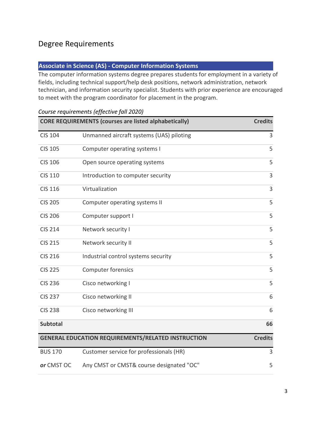# <span id="page-3-0"></span>Degree Requirements

#### <span id="page-3-1"></span>**Associate in Science (AS) - Computer Information Systems**

The computer information systems degree prepares students for employment in a variety of fields, including technical support/help desk positions, network administration, network technician, and information security specialist. Students with prior experience are encouraged to meet with the program coordinator for placement in the program.

|                 | <b>CORE REQUIREMENTS (courses are listed alphabetically)</b> | <b>Credits</b> |
|-----------------|--------------------------------------------------------------|----------------|
| <b>CIS 104</b>  | Unmanned aircraft systems (UAS) piloting                     | 3              |
| <b>CIS 105</b>  | Computer operating systems I                                 | 5              |
| <b>CIS 106</b>  | Open source operating systems                                | 5              |
| <b>CIS 110</b>  | Introduction to computer security                            | 3              |
| <b>CIS 116</b>  | Virtualization                                               | 3              |
| <b>CIS 205</b>  | Computer operating systems II                                | 5              |
| <b>CIS 206</b>  | Computer support I                                           | 5              |
| <b>CIS 214</b>  | Network security I                                           | 5              |
| <b>CIS 215</b>  | Network security II                                          | 5              |
| <b>CIS 216</b>  | Industrial control systems security                          | 5              |
| <b>CIS 225</b>  | Computer forensics                                           | 5              |
| <b>CIS 236</b>  | Cisco networking I                                           | 5              |
| <b>CIS 237</b>  | Cisco networking II                                          | 6              |
| <b>CIS 238</b>  | Cisco networking III                                         | 6              |
| <b>Subtotal</b> |                                                              | 66             |
|                 | <b>GENERAL EDUCATION REQUIREMENTS/RELATED INSTRUCTION</b>    | <b>Credits</b> |
| <b>BUS 170</b>  | Customer service for professionals (HR)                      | 3              |
| or CMST OC      | Any CMST or CMST& course designated "OC"                     | 5              |

## *Course requirements (effective fall 2020)*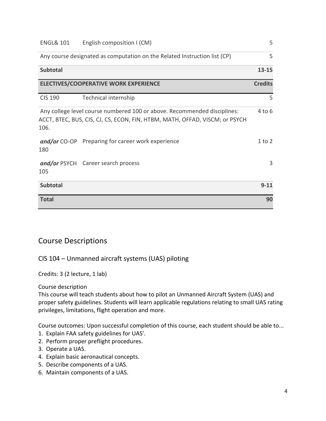| <b>ENGL&amp; 101</b> | English composition I (CM)                                                                                                                              | 5              |
|----------------------|---------------------------------------------------------------------------------------------------------------------------------------------------------|----------------|
|                      | Any course designated as computation on the Related Instruction list (CP)                                                                               | 5              |
| <b>Subtotal</b>      |                                                                                                                                                         | $13 - 15$      |
|                      | <b>ELECTIVES/COOPERATIVE WORK EXPERIENCE</b>                                                                                                            | <b>Credits</b> |
| <b>CIS 190</b>       | Technical internship                                                                                                                                    | 5              |
| 106.                 | Any college level course numbered 100 or above. Recommended disciplines:<br>ACCT, BTEC, BUS, CIS, CJ, CS, ECON, FIN, HTBM, MATH, OFFAD, VISCM; or PSYCH | $4$ to $6$     |
| 180                  | and/or CO-OP Preparing for career work experience                                                                                                       | $1$ to $2$     |
| 105                  | and/or PSYCH Career search process                                                                                                                      | 3              |
| <b>Subtotal</b>      |                                                                                                                                                         | $9 - 11$       |
| <b>Total</b>         |                                                                                                                                                         | 90             |

# <span id="page-4-0"></span>Course Descriptions

## <span id="page-4-1"></span>CIS 104 – Unmanned aircraft systems (UAS) piloting

Credits: 3 (2 lecture, 1 lab)

Course description

This course will teach students about how to pilot an Unmanned Aircraft System (UAS) and proper safety guidelines. Students will learn applicable regulations relating to small UAS rating privileges, limitations, flight operation and more.

- 1. Explain FAA safety guidelines for UAS'.
- 2. Perform proper preflight procedures.
- 3. Operate a UAS.
- 4. Explain basic aeronautical concepts.
- 5. Describe components of a UAS.
- 6. Maintain components of a UAS.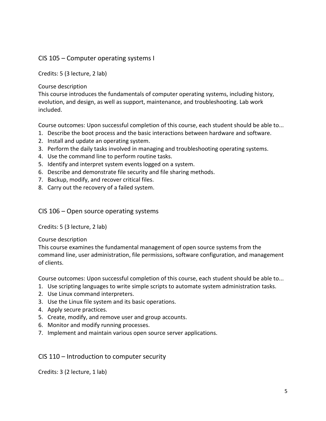## <span id="page-5-0"></span>CIS 105 – Computer operating systems I

Credits: 5 (3 lecture, 2 lab)

Course description

This course introduces the fundamentals of computer operating systems, including history, evolution, and design, as well as support, maintenance, and troubleshooting. Lab work included.

Course outcomes: Upon successful completion of this course, each student should be able to...

- 1. Describe the boot process and the basic interactions between hardware and software.
- 2. Install and update an operating system.
- 3. Perform the daily tasks involved in managing and troubleshooting operating systems.
- 4. Use the command line to perform routine tasks.
- 5. Identify and interpret system events logged on a system.
- 6. Describe and demonstrate file security and file sharing methods.
- 7. Backup, modify, and recover critical files.
- 8. Carry out the recovery of a failed system.

#### <span id="page-5-1"></span>CIS 106 – Open source operating systems

Credits: 5 (3 lecture, 2 lab)

#### Course description

This course examines the fundamental management of open source systems from the command line, user administration, file permissions, software configuration, and management of clients.

Course outcomes: Upon successful completion of this course, each student should be able to...

- 1. Use scripting languages to write simple scripts to automate system administration tasks.
- 2. Use Linux command interpreters.
- 3. Use the Linux file system and its basic operations.
- 4. Apply secure practices.
- 5. Create, modify, and remove user and group accounts.
- 6. Monitor and modify running processes.
- 7. Implement and maintain various open source server applications.

<span id="page-5-2"></span>CIS 110 – Introduction to computer security

Credits: 3 (2 lecture, 1 lab)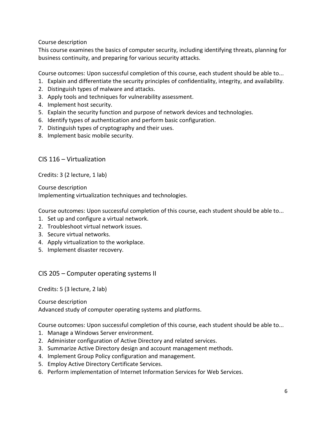Course description

This course examines the basics of computer security, including identifying threats, planning for business continuity, and preparing for various security attacks.

Course outcomes: Upon successful completion of this course, each student should be able to...

- 1. Explain and differentiate the security principles of confidentiality, integrity, and availability.
- 2. Distinguish types of malware and attacks.
- 3. Apply tools and techniques for vulnerability assessment.
- 4. Implement host security.
- 5. Explain the security function and purpose of network devices and technologies.
- 6. Identify types of authentication and perform basic configuration.
- 7. Distinguish types of cryptography and their uses.
- 8. Implement basic mobile security.

<span id="page-6-0"></span>CIS 116 – Virtualization

Credits: 3 (2 lecture, 1 lab)

Course description Implementing virtualization techniques and technologies.

Course outcomes: Upon successful completion of this course, each student should be able to...

- 1. Set up and configure a virtual network.
- 2. Troubleshoot virtual network issues.
- 3. Secure virtual networks.
- 4. Apply virtualization to the workplace.
- 5. Implement disaster recovery.

<span id="page-6-1"></span>CIS 205 – Computer operating systems II

Credits: 5 (3 lecture, 2 lab)

Course description Advanced study of computer operating systems and platforms.

- 1. Manage a Windows Server environment.
- 2. Administer configuration of Active Directory and related services.
- 3. Summarize Active Directory design and account management methods.
- 4. Implement Group Policy configuration and management.
- 5. Employ Active Directory Certificate Services.
- 6. Perform implementation of Internet Information Services for Web Services.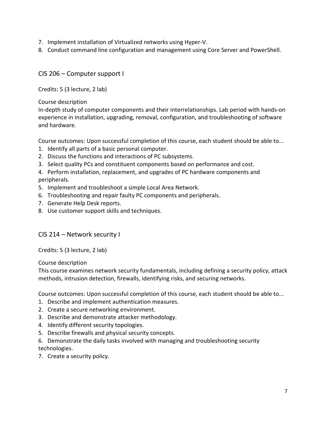- 7. Implement installation of Virtualized networks using Hyper-V.
- 8. Conduct command line configuration and management using Core Server and PowerShell.

<span id="page-7-0"></span>CIS 206 – Computer support I

Credits: 5 (3 lecture, 2 lab)

Course description

In-depth study of computer components and their interrelationships. Lab period with hands-on experience in installation, upgrading, removal, configuration, and troubleshooting of software and hardware.

Course outcomes: Upon successful completion of this course, each student should be able to...

- 1. Identify all parts of a basic personal computer.
- 2. Discuss the functions and interactions of PC subsystems.
- 3. Select quality PCs and constituent components based on performance and cost.

4. Perform installation, replacement, and upgrades of PC hardware components and peripherals.

- 5. Implement and troubleshoot a simple Local Area Network.
- 6. Troubleshooting and repair faulty PC components and peripherals.
- 7. Generate Help Desk reports.
- 8. Use customer support skills and techniques.

## <span id="page-7-1"></span>CIS 214 – Network security I

Credits: 5 (3 lecture, 2 lab)

Course description

This course examines network security fundamentals, including defining a security policy, attack methods, intrusion detection, firewalls, identifying risks, and securing networks.

- 1. Describe and implement authentication measures.
- 2. Create a secure networking environment.
- 3. Describe and demonstrate attacker methodology.
- 4. Identify different security topologies.
- 5. Describe firewalls and physical security concepts.
- 6. Demonstrate the daily tasks involved with managing and troubleshooting security technologies.
- 7. Create a security policy.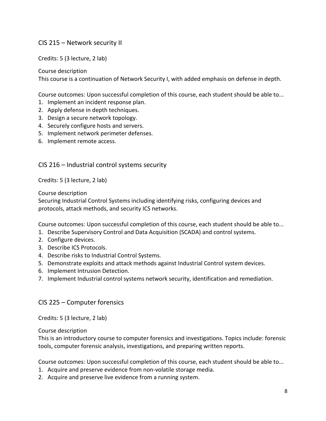## <span id="page-8-0"></span>CIS 215 – Network security II

Credits: 5 (3 lecture, 2 lab)

Course description

This course is a continuation of Network Security I, with added emphasis on defense in depth.

Course outcomes: Upon successful completion of this course, each student should be able to...

- 1. Implement an incident response plan.
- 2. Apply defense in depth techniques.
- 3. Design a secure network topology.
- 4. Securely configure hosts and servers.
- 5. Implement network perimeter defenses.
- 6. Implement remote access.

<span id="page-8-1"></span>CIS 216 – Industrial control systems security

Credits: 5 (3 lecture, 2 lab)

Course description

Securing Industrial Control Systems including identifying risks, configuring devices and protocols, attack methods, and security ICS networks.

Course outcomes: Upon successful completion of this course, each student should be able to...

- 1. Describe Supervisory Control and Data Acquisition (SCADA) and control systems.
- 2. Configure devices.
- 3. Describe ICS Protocols.
- 4. Describe risks to Industrial Control Systems.
- 5. Demonstrate exploits and attack methods against Industrial Control system devices.
- 6. Implement Intrusion Detection.
- 7. Implement Industrial control systems network security, identification and remediation.

#### <span id="page-8-2"></span>CIS 225 – Computer forensics

Credits: 5 (3 lecture, 2 lab)

Course description

This is an introductory course to computer forensics and investigations. Topics include: forensic tools, computer forensic analysis, investigations, and preparing written reports.

- 1. Acquire and preserve evidence from non-volatile storage media.
- 2. Acquire and preserve live evidence from a running system.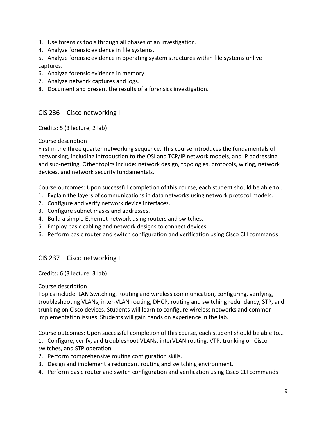- 3. Use forensics tools through all phases of an investigation.
- 4. Analyze forensic evidence in file systems.
- 5. Analyze forensic evidence in operating system structures within file systems or live captures.
- 6. Analyze forensic evidence in memory.
- 7. Analyze network captures and logs.
- 8. Document and present the results of a forensics investigation.

## <span id="page-9-0"></span>CIS 236 – Cisco networking I

Credits: 5 (3 lecture, 2 lab)

#### Course description

First in the three quarter networking sequence. This course introduces the fundamentals of networking, including introduction to the OSI and TCP/IP network models, and IP addressing and sub-netting. Other topics include: network design, topologies, protocols, wiring, network devices, and network security fundamentals.

Course outcomes: Upon successful completion of this course, each student should be able to...

- 1. Explain the layers of communications in data networks using network protocol models.
- 2. Configure and verify network device interfaces.
- 3. Configure subnet masks and addresses.
- 4. Build a simple Ethernet network using routers and switches.
- 5. Employ basic cabling and network designs to connect devices.
- 6. Perform basic router and switch configuration and verification using Cisco CLI commands.

# <span id="page-9-1"></span>CIS 237 – Cisco networking II

Credits: 6 (3 lecture, 3 lab)

Course description

Topics include: LAN Switching, Routing and wireless communication, configuring, verifying, troubleshooting VLANs, inter-VLAN routing, DHCP, routing and switching redundancy, STP, and trunking on Cisco devices. Students will learn to configure wireless networks and common implementation issues. Students will gain hands on experience in the lab.

Course outcomes: Upon successful completion of this course, each student should be able to...

1. Configure, verify, and troubleshoot VLANs, interVLAN routing, VTP, trunking on Cisco switches, and STP operation.

- 2. Perform comprehensive routing configuration skills.
- 3. Design and implement a redundant routing and switching environment.
- 4. Perform basic router and switch configuration and verification using Cisco CLI commands.